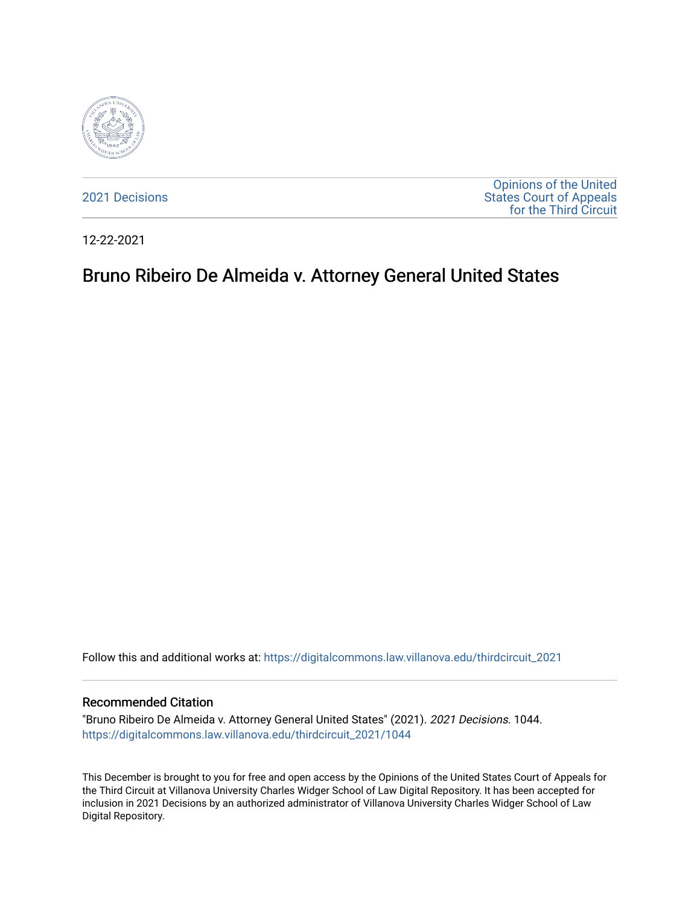

[2021 Decisions](https://digitalcommons.law.villanova.edu/thirdcircuit_2021)

[Opinions of the United](https://digitalcommons.law.villanova.edu/thirdcircuit)  [States Court of Appeals](https://digitalcommons.law.villanova.edu/thirdcircuit)  [for the Third Circuit](https://digitalcommons.law.villanova.edu/thirdcircuit) 

12-22-2021

# Bruno Ribeiro De Almeida v. Attorney General United States

Follow this and additional works at: [https://digitalcommons.law.villanova.edu/thirdcircuit\\_2021](https://digitalcommons.law.villanova.edu/thirdcircuit_2021?utm_source=digitalcommons.law.villanova.edu%2Fthirdcircuit_2021%2F1044&utm_medium=PDF&utm_campaign=PDFCoverPages) 

#### Recommended Citation

"Bruno Ribeiro De Almeida v. Attorney General United States" (2021). 2021 Decisions. 1044. [https://digitalcommons.law.villanova.edu/thirdcircuit\\_2021/1044](https://digitalcommons.law.villanova.edu/thirdcircuit_2021/1044?utm_source=digitalcommons.law.villanova.edu%2Fthirdcircuit_2021%2F1044&utm_medium=PDF&utm_campaign=PDFCoverPages) 

This December is brought to you for free and open access by the Opinions of the United States Court of Appeals for the Third Circuit at Villanova University Charles Widger School of Law Digital Repository. It has been accepted for inclusion in 2021 Decisions by an authorized administrator of Villanova University Charles Widger School of Law Digital Repository.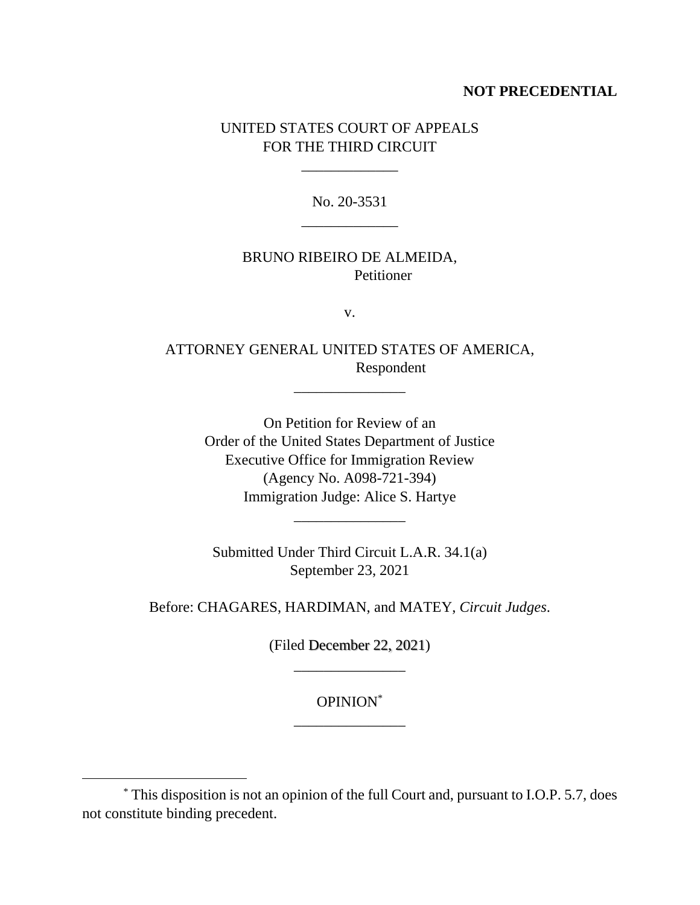# **NOT PRECEDENTIAL**

# UNITED STATES COURT OF APPEALS FOR THE THIRD CIRCUIT

\_\_\_\_\_\_\_\_\_\_\_\_\_

No. 20-3531 \_\_\_\_\_\_\_\_\_\_\_\_\_

# BRUNO RIBEIRO DE ALMEIDA, **Petitioner**

v.

ATTORNEY GENERAL UNITED STATES OF AMERICA, Respondent

\_\_\_\_\_\_\_\_\_\_\_\_\_\_\_

On Petition for Review of an Order of the United States Department of Justice Executive Office for Immigration Review (Agency No. A098-721-394) Immigration Judge: Alice S. Hartye

Submitted Under Third Circuit L.A.R. 34.1(a) September 23, 2021

\_\_\_\_\_\_\_\_\_\_\_\_\_\_\_

Before: CHAGARES, HARDIMAN, and MATEY, *Circuit Judges*.

(Filed December 22, 2021) \_\_\_\_\_\_\_\_\_\_\_\_\_\_\_

> OPINION\* \_\_\_\_\_\_\_\_\_\_\_\_\_\_\_

<sup>\*</sup> This disposition is not an opinion of the full Court and, pursuant to I.O.P. 5.7, does not constitute binding precedent.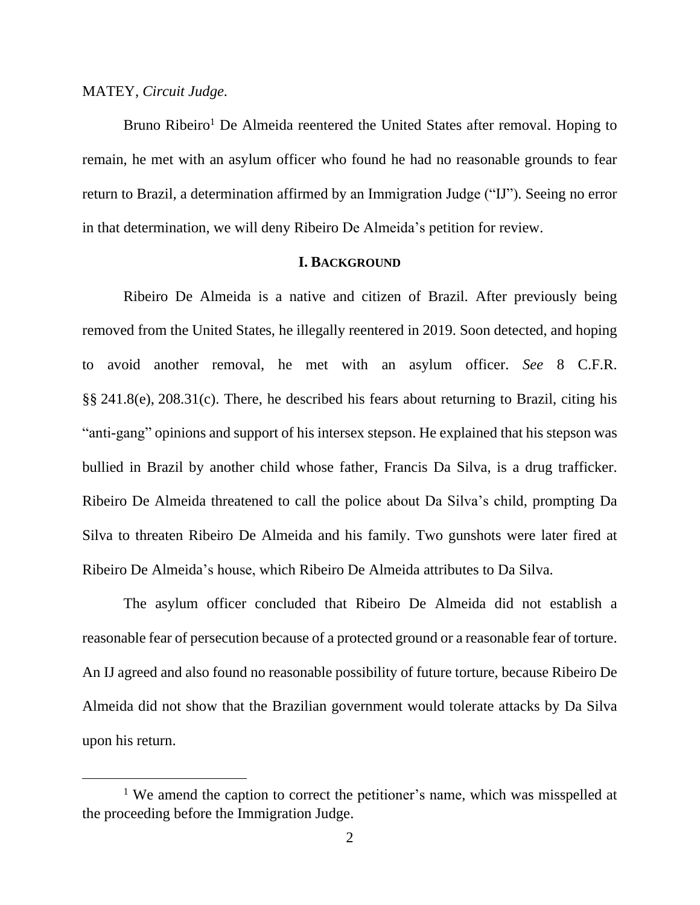#### MATEY, *Circuit Judge*.

Bruno Ribeiro<sup>1</sup> De Almeida reentered the United States after removal. Hoping to remain, he met with an asylum officer who found he had no reasonable grounds to fear return to Brazil, a determination affirmed by an Immigration Judge ("IJ"). Seeing no error in that determination, we will deny Ribeiro De Almeida's petition for review.

## **I. BACKGROUND**

Ribeiro De Almeida is a native and citizen of Brazil. After previously being removed from the United States, he illegally reentered in 2019. Soon detected, and hoping to avoid another removal, he met with an asylum officer. *See* 8 C.F.R. §§ 241.8(e), 208.31(c). There, he described his fears about returning to Brazil, citing his "anti-gang" opinions and support of his intersex stepson. He explained that his stepson was bullied in Brazil by another child whose father, Francis Da Silva, is a drug trafficker. Ribeiro De Almeida threatened to call the police about Da Silva's child, prompting Da Silva to threaten Ribeiro De Almeida and his family. Two gunshots were later fired at Ribeiro De Almeida's house, which Ribeiro De Almeida attributes to Da Silva.

The asylum officer concluded that Ribeiro De Almeida did not establish a reasonable fear of persecution because of a protected ground or a reasonable fear of torture. An IJ agreed and also found no reasonable possibility of future torture, because Ribeiro De Almeida did not show that the Brazilian government would tolerate attacks by Da Silva upon his return.

<sup>&</sup>lt;sup>1</sup> We amend the caption to correct the petitioner's name, which was misspelled at the proceeding before the Immigration Judge.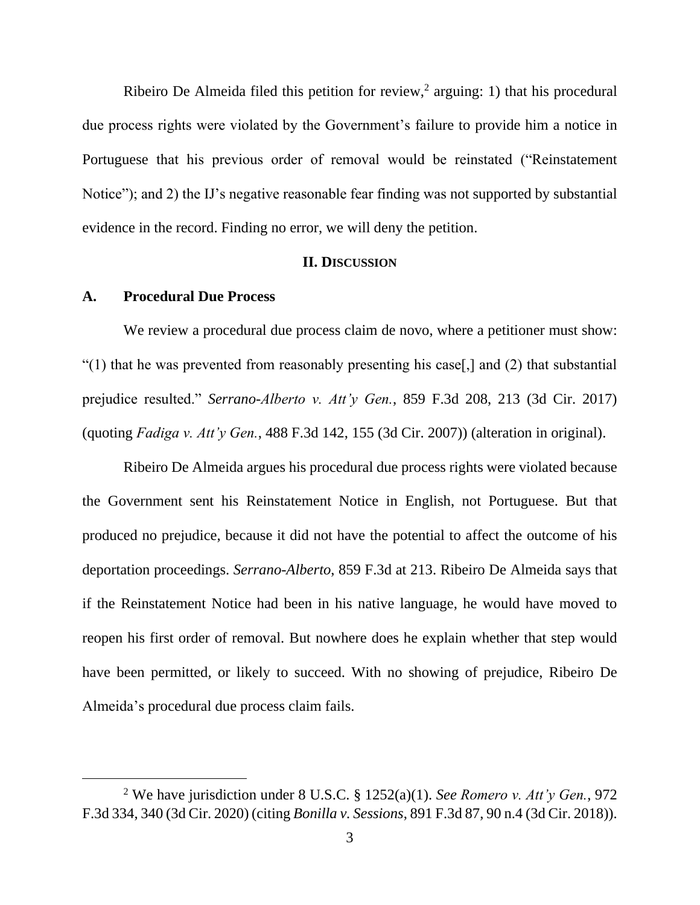Ribeiro De Almeida filed this petition for review,<sup>2</sup> arguing: 1) that his procedural due process rights were violated by the Government's failure to provide him a notice in Portuguese that his previous order of removal would be reinstated ("Reinstatement" Notice"); and 2) the IJ's negative reasonable fear finding was not supported by substantial evidence in the record. Finding no error, we will deny the petition.

## **II. DISCUSSION**

## **A. Procedural Due Process**

We review a procedural due process claim de novo, where a petitioner must show: "(1) that he was prevented from reasonably presenting his case[,] and (2) that substantial prejudice resulted." *Serrano-Alberto v. Att'y Gen.*, 859 F.3d 208, 213 (3d Cir. 2017) (quoting *Fadiga v. Att'y Gen.*, 488 F.3d 142, 155 (3d Cir. 2007)) (alteration in original).

Ribeiro De Almeida argues his procedural due process rights were violated because the Government sent his Reinstatement Notice in English, not Portuguese. But that produced no prejudice, because it did not have the potential to affect the outcome of his deportation proceedings. *Serrano-Alberto*, 859 F.3d at 213. Ribeiro De Almeida says that if the Reinstatement Notice had been in his native language, he would have moved to reopen his first order of removal. But nowhere does he explain whether that step would have been permitted, or likely to succeed. With no showing of prejudice, Ribeiro De Almeida's procedural due process claim fails.

<sup>2</sup> We have jurisdiction under 8 U.S.C. § 1252(a)(1). *See Romero v. Att'y Gen.*, 972 F.3d 334, 340 (3d Cir. 2020) (citing *Bonilla v. Sessions*, 891 F.3d 87, 90 n.4 (3d Cir. 2018)).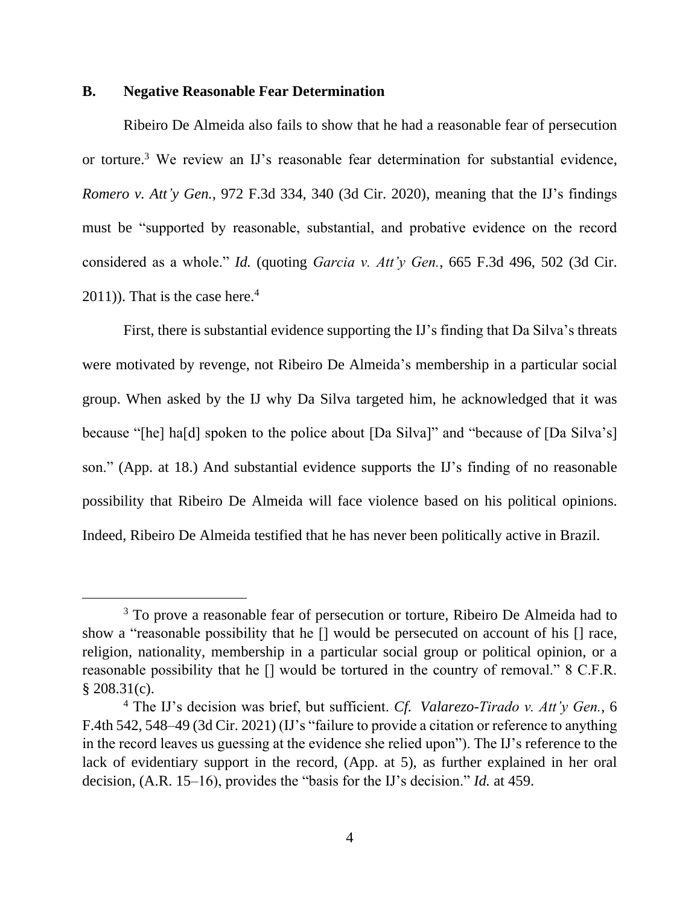## **B. Negative Reasonable Fear Determination**

Ribeiro De Almeida also fails to show that he had a reasonable fear of persecution or torture.<sup>3</sup> We review an IJ's reasonable fear determination for substantial evidence, *Romero v. Att'y Gen.*, 972 F.3d 334, 340 (3d Cir. 2020), meaning that the IJ's findings must be "supported by reasonable, substantial, and probative evidence on the record considered as a whole." *Id.* (quoting *Garcia v. Att'y Gen.*, 665 F.3d 496, 502 (3d Cir.  $2011$ ). That is the case here.<sup>4</sup>

First, there is substantial evidence supporting the IJ's finding that Da Silva's threats were motivated by revenge, not Ribeiro De Almeida's membership in a particular social group. When asked by the IJ why Da Silva targeted him, he acknowledged that it was because "[he] ha[d] spoken to the police about [Da Silva]" and "because of [Da Silva's] son." (App. at 18.) And substantial evidence supports the IJ's finding of no reasonable possibility that Ribeiro De Almeida will face violence based on his political opinions. Indeed, Ribeiro De Almeida testified that he has never been politically active in Brazil.

<sup>&</sup>lt;sup>3</sup> To prove a reasonable fear of persecution or torture, Ribeiro De Almeida had to show a "reasonable possibility that he [] would be persecuted on account of his [] race, religion, nationality, membership in a particular social group or political opinion, or a reasonable possibility that he [] would be tortured in the country of removal." 8 C.F.R.  $$208.31(c).$ 

<sup>4</sup> The IJ's decision was brief, but sufficient. *Cf. Valarezo-Tirado v. Att'y Gen.*, 6 F.4th 542, 548–49 (3d Cir. 2021) (IJ's "failure to provide a citation or reference to anything in the record leaves us guessing at the evidence she relied upon"). The IJ's reference to the lack of evidentiary support in the record, (App. at 5), as further explained in her oral decision, (A.R. 15–16), provides the "basis for the IJ's decision." *Id.* at 459.